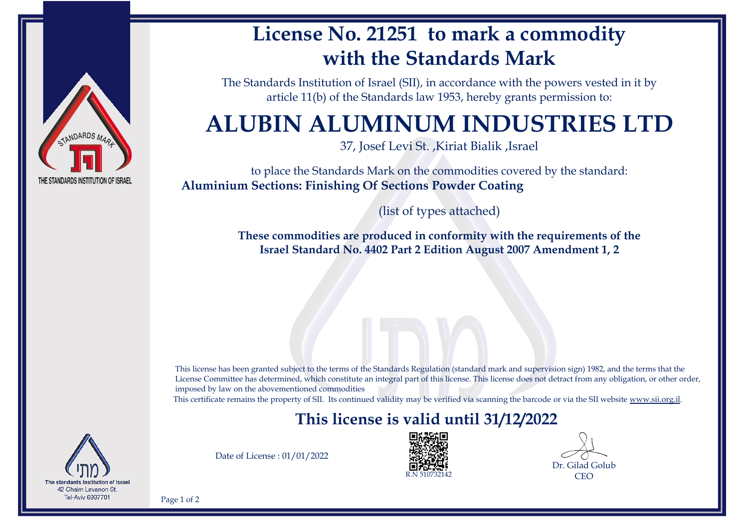

## **License No. 21251 to mark a commodity with the Standards Mark**

The Standards Institution of Israel (SII), in accordance with the powers vested in it by article 11(b) of the Standards law 1953, hereby grants permission to:

# **ALUBIN ALUMINUM INDUSTRIES LTD**

37, Josef Levi St. ,Kiriat Bialik ,Israel

to place the Standards Mark on the commodities covered by the standard: **Aluminium Sections: Finishing Of Sections Powder Coating**

(list of types attached)

**These commodities are produced in conformity with the requirements of the Israel Standard No. 4402 Part 2 Edition August 2007 Amendment 1, 2**

This license has been granted subject to the terms of the Standards Regulation (standard mark and supervision sign) 1982, and the terms that the License Committee has determined, which constitute an integral part of this license. This license does not detract from any obligation, or other order, imposed by law on the abovementioned commodities

This certificate remains the property of SII. Its continued validity may be verified via scanning the barcode or via the SII website [www.sii.org.il.](http://www.sii.org.il)

### **This license is valid until 31/12/2022**



Date of License : 01/01/2022



Dr. Gilad Golub CEO

Page 1 of 2